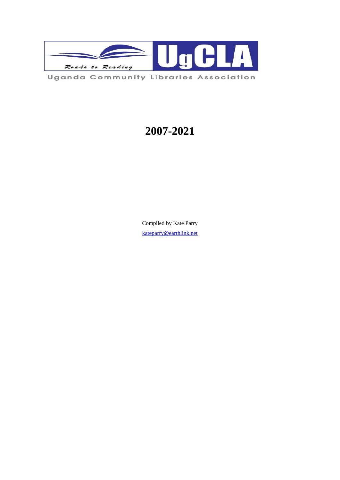

# **2007-2021**

Compiled by Kate Parry [kateparry@earthlink.net](mailto:kateparry@earthlink.net)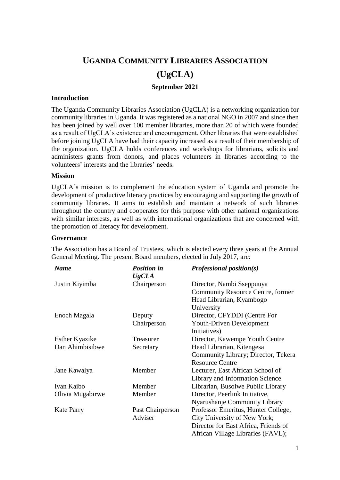## **UGANDA COMMUNITY LIBRARIES ASSOCIATION**

# **(UgCLA)**

## **September 2021**

## **Introduction**

The Uganda Community Libraries Association (UgCLA) is a networking organization for community libraries in Uganda. It was registered as a national NGO in 2007 and since then has been joined by well over 100 member libraries, more than 20 of which were founded as a result of UgCLA's existence and encouragement. Other libraries that were established before joining UgCLA have had their capacity increased as a result of their membership of the organization. UgCLA holds conferences and workshops for librarians, solicits and administers grants from donors, and places volunteers in libraries according to the volunteers' interests and the libraries' needs.

## **Mission**

UgCLA's mission is to complement the education system of Uganda and promote the development of productive literacy practices by encouraging and supporting the growth of community libraries. It aims to establish and maintain a network of such libraries throughout the country and cooperates for this purpose with other national organizations with similar interests, as well as with international organizations that are concerned with the promotion of literacy for development.

#### **Governance**

| <b>Name</b>           | <b>Position in</b><br><b>UgCLA</b> | Professional position(s)             |
|-----------------------|------------------------------------|--------------------------------------|
| Justin Kiyimba        | Chairperson                        | Director, Nambi Sseppuuya            |
|                       |                                    | Community Resource Centre, former    |
|                       |                                    | Head Librarian, Kyambogo             |
|                       |                                    | University                           |
| Enoch Magala          | Deputy                             | Director, CFYDDI (Centre For         |
|                       | Chairperson                        | <b>Youth-Driven Development</b>      |
|                       |                                    | Initiatives)                         |
| <b>Esther Kyazike</b> | Treasurer                          | Director, Kawempe Youth Centre       |
| Dan Ahimbisibwe       | Secretary                          | Head Librarian, Kitengesa            |
|                       |                                    | Community Library; Director, Tekera  |
|                       |                                    | <b>Resource Centre</b>               |
| Jane Kawalya          | Member                             | Lecturer, East African School of     |
|                       |                                    | Library and Information Science      |
| Ivan Kaibo            | Member                             | Librarian, Busolwe Public Library    |
| Olivia Mugabirwe      | Member                             | Director, Peerlink Initiative,       |
|                       |                                    | Nyarushanje Community Library        |
| <b>Kate Parry</b>     | Past Chairperson                   | Professor Emeritus, Hunter College,  |
|                       | Adviser                            | City University of New York;         |
|                       |                                    | Director for East Africa, Friends of |
|                       |                                    | African Village Libraries (FAVL);    |

The Association has a Board of Trustees, which is elected every three years at the Annual General Meeting. The present Board members, elected in July 2017, are: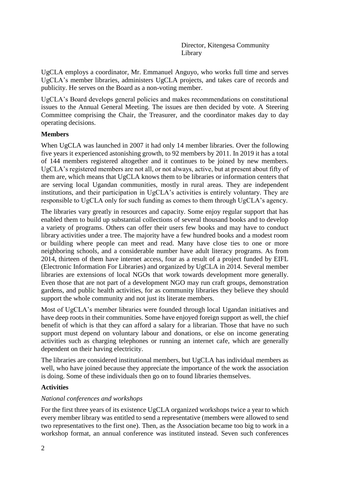Director, Kitengesa Community Library

UgCLA employs a coordinator, Mr. Emmanuel Anguyo, who works full time and serves UgCLA's member libraries, administers UgCLA projects, and takes care of records and publicity. He serves on the Board as a non-voting member.

UgCLA's Board develops general policies and makes recommendations on constitutional issues to the Annual General Meeting. The issues are then decided by vote. A Steering Committee comprising the Chair, the Treasurer, and the coordinator makes day to day operating decisions.

## **Members**

When UgCLA was launched in 2007 it had only 14 member libraries. Over the following five years it experienced astonishing growth, to 92 members by 2011. In 2019 it has a total of 144 members registered altogether and it continues to be joined by new members. UgCLA's registered members are not all, or not always, active, but at present about fifty of them are, which means that UgCLA knows them to be libraries or information centers that are serving local Ugandan communities, mostly in rural areas. They are independent institutions, and their participation in UgCLA's activities is entirely voluntary. They are responsible to UgCLA only for such funding as comes to them through UgCLA's agency.

The libraries vary greatly in resources and capacity. Some enjoy regular support that has enabled them to build up substantial collections of several thousand books and to develop a variety of programs. Others can offer their users few books and may have to conduct library activities under a tree. The majority have a few hundred books and a modest room or building where people can meet and read. Many have close ties to one or more neighboring schools, and a considerable number have adult literacy programs. As from 2014, thirteen of them have internet access, four as a result of a project funded by EIFL (Electronic Information For Libraries) and organized by UgCLA in 2014. Several member libraries are extensions of local NGOs that work towards development more generally. Even those that are not part of a development NGO may run craft groups, demonstration gardens, and public health activities, for as community libraries they believe they should support the whole community and not just its literate members.

Most of UgCLA's member libraries were founded through local Ugandan initiatives and have deep roots in their communities. Some have enjoyed foreign support as well, the chief benefit of which is that they can afford a salary for a librarian. Those that have no such support must depend on voluntary labour and donations, or else on income generating activities such as charging telephones or running an internet cafe, which are generally dependent on their having electricity.

The libraries are considered institutional members, but UgCLA has individual members as well, who have joined because they appreciate the importance of the work the association is doing. Some of these individuals then go on to found libraries themselves.

## **Activities**

#### *National conferences and workshops*

For the first three years of its existence UgCLA organized workshops twice a year to which every member library was entitled to send a representative (members were allowed to send two representatives to the first one). Then, as the Association became too big to work in a workshop format, an annual conference was instituted instead. Seven such conferences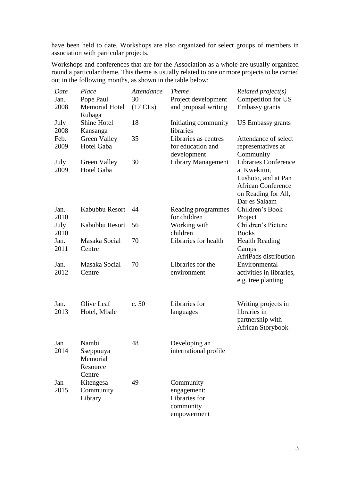have been held to date. Workshops are also organized for select groups of members in association with particular projects.

Workshops and conferences that are for the Association as a whole are usually organized round a particular theme. This theme is usually related to one or more projects to be carried out in the following months, as shown in the table below:

| Date         | Place                                                | Attendance         | <b>Theme</b>                                                          | $Related$ project(s)                                                                                     |
|--------------|------------------------------------------------------|--------------------|-----------------------------------------------------------------------|----------------------------------------------------------------------------------------------------------|
| Jan.         | Pope Paul                                            | 30                 | Project development                                                   | Competition for US                                                                                       |
| 2008         | <b>Memorial Hotel</b><br>Rubaga                      | $(17 \text{ CLs})$ | and proposal writing                                                  | Embassy grants                                                                                           |
| July<br>2008 | Shine Hotel<br>Kansanga                              | 18                 | Initiating community<br>libraries                                     | <b>US Embassy grants</b>                                                                                 |
| Feb.         | Green Valley                                         | 35                 | Libraries as centres                                                  | Attendance of select                                                                                     |
| 2009         | Hotel Gaba                                           |                    | for education and<br>development                                      | representatives at<br>Community                                                                          |
| July         | Green Valley                                         | 30                 | <b>Library Management</b>                                             | <b>Libraries Conference</b>                                                                              |
| 2009         | <b>Hotel Gaba</b>                                    |                    |                                                                       | at Kwekitui,<br>Lushoto, and at Pan<br><b>African Conference</b><br>on Reading for All,<br>Dar es Salaam |
| Jan.<br>2010 | Kabubbu Resort                                       | 44                 | Reading programmes<br>for children                                    | Children's Book<br>Project                                                                               |
| July<br>2010 | Kabubbu Resort                                       | 56                 | Working with<br>children                                              | Children's Picture<br><b>Books</b>                                                                       |
| Jan.<br>2011 | Masaka Social<br>Centre                              | 70                 | Libraries for health                                                  | <b>Health Reading</b><br>Camps<br>AfriPads distribution                                                  |
| Jan.<br>2012 | Masaka Social<br>Centre                              | 70                 | Libraries for the<br>environment                                      | Environmental<br>activities in libraries,<br>e.g. tree planting                                          |
| Jan.<br>2013 | Olive Leaf<br>Hotel, Mbale                           | c. 50              | Libraries for<br>languages                                            | Writing projects in<br>libraries in<br>partnership with<br><b>African Storybook</b>                      |
| Jan<br>2014  | Nambi<br>Sseppuuya<br>Memorial<br>Resource<br>Centre | 48                 | Developing an<br>international profile                                |                                                                                                          |
| Jan<br>2015  | Kitengesa<br>Community<br>Library                    | 49                 | Community<br>engagement:<br>Libraries for<br>community<br>empowerment |                                                                                                          |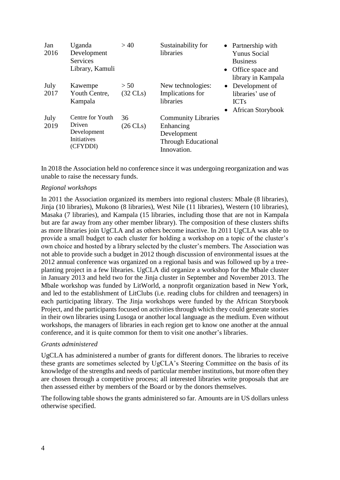| Jan<br>2016  | Uganda<br>Development<br>Services<br>Library, Kamuli                 | >40                        | Sustainability for<br>libraries                                                                     | • Partnership with<br><b>Yunus Social</b><br><b>Business</b><br>• Office space and<br>library in Kampala |
|--------------|----------------------------------------------------------------------|----------------------------|-----------------------------------------------------------------------------------------------------|----------------------------------------------------------------------------------------------------------|
| July<br>2017 | Kawempe<br>Youth Centre,<br>Kampala                                  | > 50<br>$(32 \text{ CLs})$ | New technologies:<br>Implications for<br>libraries                                                  | • Development of<br>libraries' use of<br><b>ICTs</b><br>• African Storybook                              |
| July<br>2019 | Centre for Youth<br>Driven<br>Development<br>Initiatives<br>(CFYDDI) | 36<br>$(26 \text{ CLs})$   | <b>Community Libraries</b><br>Enhancing<br>Development<br><b>Through Educational</b><br>Innovation. |                                                                                                          |

In 2018 the Association held no conference since it was undergoing reorganization and was unable to raise the necessary funds.

## *Regional workshops*

In 2011 the Association organized its members into regional clusters: Mbale (8 libraries), Jinja (10 libraries), Mukono (8 libraries), West Nile (11 libraries), Western (10 libraries), Masaka (7 libraries), and Kampala (15 libraries, including those that are not in Kampala but are far away from any other member library). The composition of these clusters shifts as more libraries join UgCLA and as others become inactive. In 2011 UgCLA was able to provide a small budget to each cluster for holding a workshop on a topic of the cluster's own choice and hosted by a library selected by the cluster's members. The Association was not able to provide such a budget in 2012 though discussion of environmental issues at the 2012 annual conference was organized on a regional basis and was followed up by a treeplanting project in a few libraries. UgCLA did organize a workshop for the Mbale cluster in January 2013 and held two for the Jinja cluster in September and November 2013. The Mbale workshop was funded by LitWorld, a nonprofit organization based in New York, and led to the establishment of LitClubs (i.e. reading clubs for children and teenagers) in each participating library. The Jinja workshops were funded by the African Storybook Project, and the participants focused on activities through which they could generate stories in their own libraries using Lusoga or another local language as the medium. Even without workshops, the managers of libraries in each region get to know one another at the annual conference, and it is quite common for them to visit one another's libraries.

## *Grants administered*

UgCLA has administered a number of grants for different donors. The libraries to receive these grants are sometimes selected by UgCLA's Steering Committee on the basis of its knowledge of the strengths and needs of particular member institutions, but more often they are chosen through a competitive process; all interested libraries write proposals that are then assessed either by members of the Board or by the donors themselves.

The following table shows the grants administered so far. Amounts are in US dollars unless otherwise specified.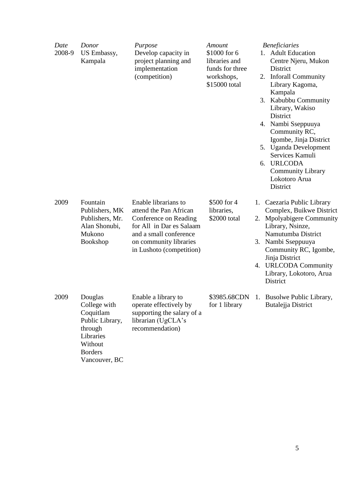| Date<br>2008-9 | Donor<br>US Embassy,<br>Kampala                                                                                               | Purpose<br>Develop capacity in<br>project planning and<br>implementation<br>(competition)                                                                                           | Amount<br>\$1000 for 6<br>libraries and<br>funds for three<br>workshops,<br>\$15000 total | <b>Beneficiaries</b><br>1. Adult Education<br>Centre Njeru, Mukon<br>District<br>2. Inforall Community<br>Library Kagoma,<br>Kampala<br>3. Kabubbu Community<br>Library, Wakiso<br>District<br>4. Nambi Sseppuuya<br>Community RC,<br>Igombe, Jinja District<br>5. Uganda Development<br>Services Kamuli<br>6. URLCODA<br><b>Community Library</b><br>Lokotoro Arua<br>District |
|----------------|-------------------------------------------------------------------------------------------------------------------------------|-------------------------------------------------------------------------------------------------------------------------------------------------------------------------------------|-------------------------------------------------------------------------------------------|---------------------------------------------------------------------------------------------------------------------------------------------------------------------------------------------------------------------------------------------------------------------------------------------------------------------------------------------------------------------------------|
| 2009           | Fountain<br>Publishers, MK<br>Publishers, Mr.<br>Alan Shonubi,<br>Mukono<br>Bookshop                                          | Enable librarians to<br>attend the Pan African<br>Conference on Reading<br>for All in Dar es Salaam<br>and a small conference<br>on community libraries<br>in Lushoto (competition) | \$500 for 4<br>libraries,<br>\$2000 total                                                 | 1. Caezaria Public Library<br>Complex, Buikwe District<br>2. Mpolyabigere Community<br>Library, Nsinze,<br>Namutumba District<br>3. Nambi Sseppuuya<br>Community RC, Igombe,<br>Jinja District<br>4. URLCODA Community<br>Library, Lokotoro, Arua<br>District                                                                                                                   |
| 2009           | Douglas<br>College with<br>Coquitlam<br>Public Library,<br>through<br>Libraries<br>Without<br><b>Borders</b><br>Vancouver, BC | Enable a library to<br>operate effectively by<br>supporting the salary of a<br>librarian (UgCLA's<br>recommendation)                                                                | for 1 library                                                                             | \$3985.68CDN 1. Busolwe Public Library,<br>Butalejja District                                                                                                                                                                                                                                                                                                                   |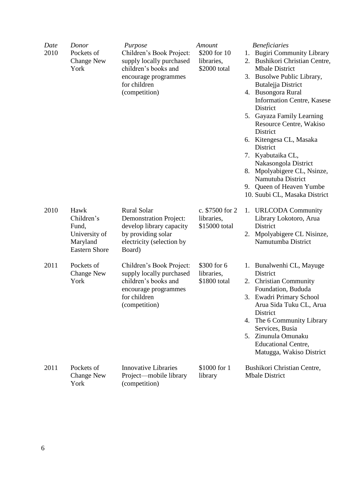| Date<br>2010 | Donor<br>Pockets of<br><b>Change New</b><br>York                                 | Purpose<br>Children's Book Project:<br>supply locally purchased<br>children's books and<br>encourage programmes<br>for children<br>(competition) | Amount<br>\$200 for 10<br>libraries,<br>\$2000 total | <b>Beneficiaries</b><br><b>Bugiri Community Library</b><br>1.<br>2. Bushikori Christian Centre,<br><b>Mbale District</b><br>3. Busolwe Public Library,<br>Butalejja District<br>4. Busongora Rural<br><b>Information Centre, Kasese</b><br>District<br>5. Gayaza Family Learning<br>Resource Centre, Wakiso<br>District<br>6. Kitengesa CL, Masaka<br>District<br>7. Kyabutaika CL,<br>Nakasongola District<br>8. Mpolyabigere CL, Nsinze,<br>Namutuba District<br>9. Queen of Heaven Yumbe<br>10. Suubi CL, Masaka District |
|--------------|----------------------------------------------------------------------------------|--------------------------------------------------------------------------------------------------------------------------------------------------|------------------------------------------------------|------------------------------------------------------------------------------------------------------------------------------------------------------------------------------------------------------------------------------------------------------------------------------------------------------------------------------------------------------------------------------------------------------------------------------------------------------------------------------------------------------------------------------|
| 2010         | Hawk<br>Children's<br>Fund,<br>University of<br>Maryland<br><b>Eastern Shore</b> | <b>Rural Solar</b><br><b>Demonstration Project:</b><br>develop library capacity<br>by providing solar<br>electricity (selection by<br>Board)     | c. \$7500 for 2<br>libraries,<br>\$15000 total       | 1. URLCODA Community<br>Library Lokotoro, Arua<br>District<br>Mpolyabigere CL Nisinze,<br>2.<br>Namutumba District                                                                                                                                                                                                                                                                                                                                                                                                           |
| 2011         | Pockets of<br><b>Change New</b><br>York                                          | Children's Book Project:<br>supply locally purchased<br>children's books and<br>encourage programmes<br>for children<br>(competition)            | \$300 for 6<br>libraries,<br>\$1800 total            | 1. Bunalwenhi CL, Mayuge<br>District<br>2. Christian Community<br>Foundation, Bududa<br>3. Ewadri Primary School<br>Arua Sida Tuku CL, Arua<br>District<br>4. The 6 Community Library<br>Services, Busia<br>5. Zinunula Omunaku<br><b>Educational Centre,</b><br>Matugga, Wakiso District                                                                                                                                                                                                                                    |
| 2011         | Pockets of<br><b>Change New</b><br>York                                          | <b>Innovative Libraries</b><br>Project—mobile library<br>(competition)                                                                           | \$1000 for 1<br>library                              | Bushikori Christian Centre,<br><b>Mbale District</b>                                                                                                                                                                                                                                                                                                                                                                                                                                                                         |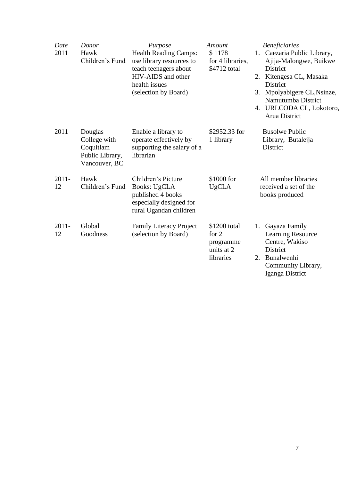| Date<br>2011   | Donor<br>Hawk<br>Children's Fund                                         | Purpose<br><b>Health Reading Camps:</b><br>use library resources to<br>teach teenagers about<br>HIV-AIDS and other<br>health issues<br>(selection by Board) | Amount<br>\$1178<br>for 4 libraries,<br>\$4712 total            | <b>Beneficiaries</b><br>1. Caezaria Public Library,<br>Ajija-Malongwe, Buikwe<br>District<br>2. Kitengesa CL, Masaka<br>District<br>Mpolyabigere CL, Nsinze,<br>3.<br>Namutumba District<br>4. URLCODA CL, Lokotoro,<br>Arua District |
|----------------|--------------------------------------------------------------------------|-------------------------------------------------------------------------------------------------------------------------------------------------------------|-----------------------------------------------------------------|---------------------------------------------------------------------------------------------------------------------------------------------------------------------------------------------------------------------------------------|
| 2011           | Douglas<br>College with<br>Coquitlam<br>Public Library,<br>Vancouver, BC | Enable a library to<br>operate effectively by<br>supporting the salary of a<br>librarian                                                                    | \$2952.33 for<br>1 library                                      | <b>Busolwe Public</b><br>Library, Butalejja<br>District                                                                                                                                                                               |
| $2011 -$<br>12 | Hawk<br>Children's Fund                                                  | Children's Picture<br><b>Books: UgCLA</b><br>published 4 books<br>especially designed for<br>rural Ugandan children                                         | \$1000 for<br><b>UgCLA</b>                                      | All member libraries<br>received a set of the<br>books produced                                                                                                                                                                       |
| $2011 -$<br>12 | Global<br>Goodness                                                       | <b>Family Literacy Project</b><br>(selection by Board)                                                                                                      | \$1200 total<br>for $2$<br>programme<br>units at 2<br>libraries | Gayaza Family<br>1.<br>Learning Resource<br>Centre, Wakiso<br><b>District</b><br>Bunalwenhi<br>2.<br>Community Library,<br>Iganga District                                                                                            |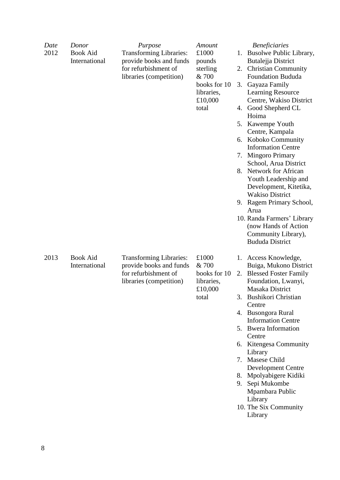| Date<br>2012 | Donor<br><b>Book Aid</b><br>International | Purpose<br><b>Transforming Libraries:</b><br>provide books and funds<br>for refurbishment of<br>libraries (competition) | Amount<br>£1000<br>pounds<br>sterling<br>& 700<br>books for 10<br>libraries,<br>£10,000<br>total | <b>Beneficiaries</b><br>Busolwe Public Library,<br>1.<br>Butalejja District<br><b>Christian Community</b><br>2.<br>Foundation Bududa<br>Gayaza Family<br>3.<br>Learning Resource<br>Centre, Wakiso District<br>4. Good Shepherd CL<br>Hoima<br>Kawempe Youth<br>5.<br>Centre, Kampala<br>Koboko Community<br>6.<br><b>Information Centre</b><br><b>Mingoro Primary</b><br>7.<br>School, Arua District<br><b>Network for African</b><br>8.<br>Youth Leadership and<br>Development, Kitetika,<br><b>Wakiso District</b><br>9. Ragem Primary School,<br>Arua<br>10. Randa Farmers' Library<br>(now Hands of Action<br>Community Library),<br><b>Bududa District</b> |
|--------------|-------------------------------------------|-------------------------------------------------------------------------------------------------------------------------|--------------------------------------------------------------------------------------------------|------------------------------------------------------------------------------------------------------------------------------------------------------------------------------------------------------------------------------------------------------------------------------------------------------------------------------------------------------------------------------------------------------------------------------------------------------------------------------------------------------------------------------------------------------------------------------------------------------------------------------------------------------------------|
| 2013         | <b>Book Aid</b><br>International          | <b>Transforming Libraries:</b><br>provide books and funds<br>for refurbishment of<br>libraries (competition)            | £1000<br>& 700<br>books for 10<br>libraries,<br>£10,000<br>total                                 | 1. Access Knowledge,<br>Buiga, Mukono District<br><b>Blessed Foster Family</b><br>2.<br>Foundation, Lwanyi,<br>Masaka District<br>Bushikori Christian<br>Centre<br>4. Busongora Rural<br><b>Information Centre</b><br>5. Bwera Information<br>Centre<br>6. Kitengesa Community<br>Library<br>7. Masese Child<br><b>Development Centre</b><br>8. Mpolyabigere Kidiki<br>Sepi Mukombe<br>9.<br>Mpambara Public<br>Library<br>10. The Six Community<br>Library                                                                                                                                                                                                      |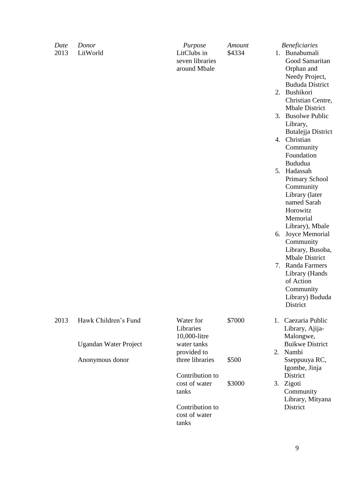| Hawk Children's Fund<br>2013<br>Water for<br>\$7000<br>Caezaria Public<br>1.<br>Libraries<br>Library, Ajija-<br>10,000-litre<br>Malongwe,<br><b>Buikwe District</b><br><b>Ugandan Water Project</b><br>water tanks<br>2. Nambi<br>provided to<br>three libraries<br>\$500<br>Anonymous donor<br>Sseppuuya RC,<br>Igombe, Jinja<br>District<br>Contribution to<br>cost of water<br>\$3000<br>3. Zigoti<br>tanks<br>Community<br>Library, Mityana<br>District<br>Contribution to<br>cost of water<br>tanks | Date<br>2013 | Donor<br>LitWorld | Purpose<br>LitClubs in<br>seven libraries<br>around Mbale | Amount<br>\$4334 | 6. | <b>Beneficiaries</b><br>1. Bunabumali<br>Good Samaritan<br>Orphan and<br>Needy Project,<br><b>Bududa District</b><br>2. Bushikori<br>Christian Centre,<br><b>Mbale District</b><br>3. Busolwe Public<br>Library,<br>Butalejja District<br>4. Christian<br>Community<br>Foundation<br>Bududua<br>5. Hadassah<br><b>Primary School</b><br>Community<br>Library (later<br>named Sarah<br>Horowitz<br>Memorial<br>Library), Mbale<br>Joyce Memorial<br>Community<br>Library, Busoba,<br><b>Mbale District</b><br>7. Randa Farmers<br>Library (Hands<br>of Action<br>Community<br>Library) Bududa<br>District |
|----------------------------------------------------------------------------------------------------------------------------------------------------------------------------------------------------------------------------------------------------------------------------------------------------------------------------------------------------------------------------------------------------------------------------------------------------------------------------------------------------------|--------------|-------------------|-----------------------------------------------------------|------------------|----|----------------------------------------------------------------------------------------------------------------------------------------------------------------------------------------------------------------------------------------------------------------------------------------------------------------------------------------------------------------------------------------------------------------------------------------------------------------------------------------------------------------------------------------------------------------------------------------------------------|
|                                                                                                                                                                                                                                                                                                                                                                                                                                                                                                          |              |                   |                                                           |                  |    |                                                                                                                                                                                                                                                                                                                                                                                                                                                                                                                                                                                                          |
|                                                                                                                                                                                                                                                                                                                                                                                                                                                                                                          |              |                   |                                                           |                  |    |                                                                                                                                                                                                                                                                                                                                                                                                                                                                                                                                                                                                          |
|                                                                                                                                                                                                                                                                                                                                                                                                                                                                                                          |              |                   |                                                           |                  |    |                                                                                                                                                                                                                                                                                                                                                                                                                                                                                                                                                                                                          |
|                                                                                                                                                                                                                                                                                                                                                                                                                                                                                                          |              |                   |                                                           |                  |    |                                                                                                                                                                                                                                                                                                                                                                                                                                                                                                                                                                                                          |
|                                                                                                                                                                                                                                                                                                                                                                                                                                                                                                          |              |                   |                                                           |                  |    |                                                                                                                                                                                                                                                                                                                                                                                                                                                                                                                                                                                                          |

9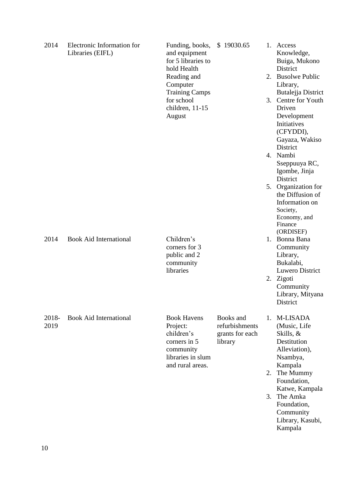| 2014          | Electronic Information for<br>Libraries (EIFL) | Funding, books,<br>and equipment<br>for 5 libraries to<br>hold Health<br>Reading and<br>Computer<br><b>Training Camps</b><br>for school<br>children, 11-15<br>August | \$19030.65                                                |                | 1. Access<br>Knowledge,<br>Buiga, Mukono<br>District<br>2. Busolwe Public<br>Library,<br>Butalejja District<br>3. Centre for Youth<br>Driven<br>Development<br>Initiatives<br>(CFYDDI),<br>Gayaza, Wakiso<br>District<br>4. Nambi<br>Sseppuuya RC,<br>Igombe, Jinja<br>District<br>5. Organization for<br>the Diffusion of<br>Information on<br>Society,<br>Economy, and<br>Finance<br>(ORDISEF) |
|---------------|------------------------------------------------|----------------------------------------------------------------------------------------------------------------------------------------------------------------------|-----------------------------------------------------------|----------------|--------------------------------------------------------------------------------------------------------------------------------------------------------------------------------------------------------------------------------------------------------------------------------------------------------------------------------------------------------------------------------------------------|
| 2014          | <b>Book Aid International</b>                  | Children's<br>corners for 3<br>public and 2<br>community<br>libraries                                                                                                |                                                           |                | 1. Bonna Bana<br>Community<br>Library,<br>Bukalabi,<br>Luwero District<br>2. Zigoti<br>Community<br>Library, Mityana<br>District                                                                                                                                                                                                                                                                 |
| 2018-<br>2019 | <b>Book Aid International</b>                  | <b>Book Havens</b><br>Project:<br>children's<br>corners in 5<br>community<br>libraries in slum<br>and rural areas.                                                   | Books and<br>refurbishments<br>grants for each<br>library | 1.<br>2.<br>3. | <b>M-LISADA</b><br>(Music, Life<br>Skills, &<br>Destitution<br>Alleviation),<br>Nsambya,<br>Kampala<br>The Mummy<br>Foundation,<br>Katwe, Kampala<br>The Amka<br>Foundation,<br>Community<br>Library, Kasubi,<br>Kampala                                                                                                                                                                         |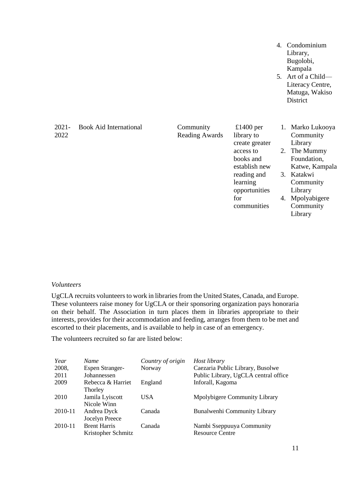- 4. Condominium Library, Bugolobi, Kampala
- 5. Art of a Child— Literacy Centre, Matuga, Wakiso **District**

| $2021 -$<br>2022 | <b>Book Aid International</b> | Community<br><b>Reading Awards</b> | £1400 per<br>library to |    | Marko Lukooya<br>Community |
|------------------|-------------------------------|------------------------------------|-------------------------|----|----------------------------|
|                  |                               |                                    | create greater          |    | Library                    |
|                  |                               |                                    | access to               | 2. | The Mummy                  |
|                  |                               |                                    | books and               |    | Foundation,                |
|                  |                               |                                    | establish new           |    | Katwe, Kampala             |
|                  |                               |                                    | reading and             | 3. | Katakwi                    |
|                  |                               |                                    | learning                |    | Community                  |
|                  |                               |                                    | opportunities           |    | Library                    |
|                  |                               |                                    | for                     | 4. | Mpolyabigere               |
|                  |                               |                                    | communities             |    | Community                  |
|                  |                               |                                    |                         |    | Library                    |

#### *Volunteers*

UgCLA recruits volunteers to work in libraries from the United States, Canada, and Europe. These volunteers raise money for UgCLA or their sponsoring organization pays honoraria on their behalf. The Association in turn places them in libraries appropriate to their interests, provides for their accommodation and feeding, arranges from them to be met and escorted to their placements, and is available to help in case of an emergency.

The volunteers recruited so far are listed below:

| Year<br>2008,<br>2011 | <b>Name</b><br><b>Espen Stranger-</b><br>Johannessen | Country of origin<br>Norway | Host library<br>Caezaria Public Library, Busolwe<br>Public Library, UgCLA central office |
|-----------------------|------------------------------------------------------|-----------------------------|------------------------------------------------------------------------------------------|
| 2009                  | Rebecca & Harriet<br>Thorley                         | England                     | Inforall, Kagoma                                                                         |
| 2010                  | Jamila Lyiscott<br>Nicole Winn                       | USA                         | Mpolybigere Community Library                                                            |
| 2010-11               | Andrea Dyck<br>Jocelyn Preece                        | Canada                      | Bunalwenhi Community Library                                                             |
| 2010-11               | <b>Brent Harris</b><br>Kristopher Schmitz            | Canada                      | Nambi Sseppuuya Community<br><b>Resource Centre</b>                                      |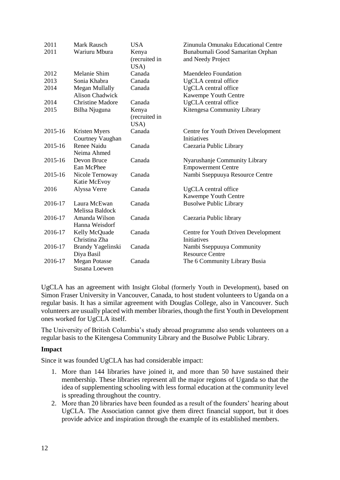| 2011    | <b>Mark Rausch</b>      | <b>USA</b>    | Zinunula Omunaku Educational Centre |
|---------|-------------------------|---------------|-------------------------------------|
| 2011    | Wariuru Mbura           | Kenya         | Bunabumali Good Samaritan Orphan    |
|         |                         | (recruited in | and Needy Project                   |
|         |                         | USA)          |                                     |
| 2012    | Melanie Shim            | Canada        | Maendeleo Foundation                |
| 2013    | Sonia Khabra            | Canada        | UgCLA central office                |
| 2014    | Megan Mullally          | Canada        | UgCLA central office                |
|         | <b>Alison Chadwick</b>  |               | Kawempe Youth Centre                |
| 2014    | <b>Christine Madore</b> | Canada        | UgCLA central office                |
| 2015    | Bilha Njuguna           | Kenya         | Kitengesa Community Library         |
|         |                         | (recruited in |                                     |
|         |                         | USA)          |                                     |
| 2015-16 | Kristen Myers           | Canada        | Centre for Youth Driven Development |
|         | Courtney Vaughan        |               | <b>Initiatives</b>                  |
| 2015-16 | Renee Naidu             | Canada        | Caezaria Public Library             |
|         | Neima Ahmed             |               |                                     |
| 2015-16 | Devon Bruce             | Canada        | Nyarushanje Community Library       |
|         | Ean McPhee              |               | <b>Empowerment Centre</b>           |
| 2015-16 | Nicole Ternoway         | Canada        | Nambi Sseppuuya Resource Centre     |
|         | Katie McEvoy            |               |                                     |
| 2016    | Alyssa Verre            | Canada        | UgCLA central office                |
|         |                         |               | Kawempe Youth Centre                |
| 2016-17 | Laura McEwan            | Canada        | <b>Busolwe Public Library</b>       |
|         | Melissa Baldock         |               |                                     |
| 2016-17 | Amanda Wilson           | Canada        | Caezaria Public library             |
|         | Hanna Weisdorf          |               |                                     |
| 2016-17 | Kelly McQuade           | Canada        | Centre for Youth Driven Development |
|         | Christina Zha           |               | <b>Initiatives</b>                  |
| 2016-17 | Brandy Yagelinski       | Canada        | Nambi Sseppuuya Community           |
|         | Diya Basil              |               | <b>Resource Centre</b>              |
| 2016-17 | <b>Megan Potasse</b>    | Canada        | The 6 Community Library Busia       |
|         | Susana Loewen           |               |                                     |

UgCLA has an agreement with Insight Global (formerly Youth in Development), based on Simon Fraser University in Vancouver, Canada, to host student volunteers to Uganda on a regular basis. It has a similar agreement with Douglas College, also in Vancouver. Such volunteers are usually placed with member libraries, though the first Youth in Development ones worked for UgCLA itself.

The University of British Columbia's study abroad programme also sends volunteers on a regular basis to the Kitengesa Community Library and the Busolwe Public Library.

## **Impact**

Since it was founded UgCLA has had considerable impact:

- 1. More than 144 libraries have joined it, and more than 50 have sustained their membership. These libraries represent all the major regions of Uganda so that the idea of supplementing schooling with less formal education at the community level is spreading throughout the country.
- 2. More than 20 libraries have been founded as a result of the founders' hearing about UgCLA. The Association cannot give them direct financial support, but it does provide advice and inspiration through the example of its established members.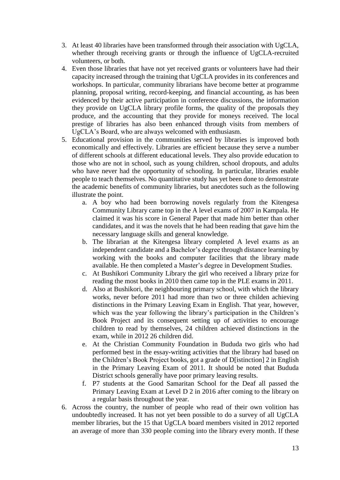- 3. At least 40 libraries have been transformed through their association with UgCLA, whether through receiving grants or through the influence of UgCLA-recruited volunteers, or both.
- 4. Even those libraries that have not yet received grants or volunteers have had their capacity increased through the training that UgCLA provides in its conferences and workshops. In particular, community librarians have become better at programme planning, proposal writing, record-keeping, and financial accounting, as has been evidenced by their active participation in conference discussions, the information they provide on UgCLA library profile forms, the quality of the proposals they produce, and the accounting that they provide for moneys received. The local prestige of libraries has also been enhanced through visits from members of UgCLA's Board, who are always welcomed with enthusiasm.
- 5. Educational provision in the communities served by libraries is improved both economically and effectively. Libraries are efficient because they serve a number of different schools at different educational levels. They also provide education to those who are not in school, such as young children, school dropouts, and adults who have never had the opportunity of schooling. In particular, libraries enable people to teach themselves. No quantitative study has yet been done to demonstrate the academic benefits of community libraries, but anecdotes such as the following illustrate the point.
	- a. A boy who had been borrowing novels regularly from the Kitengesa Community Library came top in the A level exams of 2007 in Kampala. He claimed it was his score in General Paper that made him better than other candidates, and it was the novels that he had been reading that gave him the necessary language skills and general knowledge.
	- b. The librarian at the Kitengesa library completed A level exams as an independent candidate and a Bachelor's degree through distance learning by working with the books and computer facilities that the library made available. He then completed a Master's degree in Development Studies.
	- c. At Bushikori Community Library the girl who received a library prize for reading the most books in 2010 then came top in the PLE exams in 2011.
	- d. Also at Bushikori, the neighbouring primary school, with which the library works, never before 2011 had more than two or three childen achieving distinctions in the Primary Leaving Exam in English. That year, however, which was the year following the library's participation in the Children's Book Project and its consequent setting up of activities to encourage children to read by themselves, 24 children achieved distinctions in the exam, while in 2012 26 children did.
	- e. At the Christian Community Foundation in Bududa two girls who had performed best in the essay-writing activities that the library had based on the Children's Book Project books, got a grade of D[istinction] 2 in English in the Primary Leaving Exam of 2011. It should be noted that Bududa District schools generally have poor primary leaving results.
	- f. P7 students at the Good Samaritan School for the Deaf all passed the Primary Leaving Exam at Level D 2 in 2016 after coming to the library on a regular basis throughout the year.
- 6. Across the country, the number of people who read of their own volition has undoubtedly increased. It has not yet been possible to do a survey of all UgCLA member libraries, but the 15 that UgCLA board members visited in 2012 reported an average of more than 330 people coming into the library every month. If these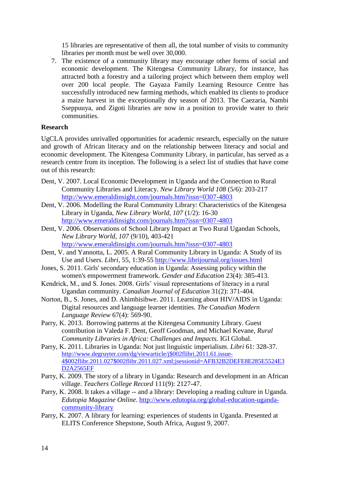15 libraries are representative of them all, the total number of visits to community libraries per month must be well over 30,000.

7. The existence of a community library may encourage other forms of social and economic development. The Kitengesa Community Library, for instance, has attracted both a forestry and a tailoring project which between them employ well over 200 local people. The Gayaza Family Learning Resource Centre has successfully introduced new farming methods, which enabled its clients to produce a maize harvest in the exceptionally dry season of 2013. The Caezaria, Nambi Sseppuuya, and Zigoti libraries are now in a position to provide water to their communities.

## **Research**

UgCLA provides unrivalled opportunities for academic research, especially on the nature and growth of African literacy and on the relationship between literacy and social and economic development. The Kitengesa Community Library, in particular, has served as a research centre from its inception. The following is a select list of studies that have come out of this research:

- Dent, V. 2007. Local Economic Development in Uganda and the Connection to Rural Community Libraries and Literacy. *New Library World 108* (5/6): 203-217 <http://www.emeraldinsight.com/journals.htm?issn=0307-4803>
- Dent, V. 2006. Modelling the Rural Community Library: Characteristics of the Kitengesa Library in Uganda, *New Library World, 107* (1/2): 16-30 <http://www.emeraldinsight.com/journals.htm?issn=0307-4803>
- Dent, V. 2006. Observations of School Library Impact at Two Rural Ugandan Schools, *New Library World, 107* (9/10), 403-421 <http://www.emeraldinsight.com/journals.htm?issn=0307-4803>
- Dent, V. and Yannotta, L. 2005. A Rural Community Library in Uganda: A Study of its Use and Users. *Libri*, 55, 1:39-55 <http://www.librijournal.org/issues.html>
- Jones, S. 2011. Girls' secondary education in Uganda: Assessing policy within the women's empowerment framework. *Gender and Education* 23(4): 385-413.
- Kendrick, M., and S. Jones. 2008. Girls' visual representations of literacy in a rural Ugandan community. *Canadian Journal of Education* 31(2): 371-404.
- Norton, B., S. Jones, and D. Ahimbisibwe. 2011. Learning about HIV/AIDS in Uganda: Digital resources and language learner identities. *The Canadian Modern Language Review* 67(4): 569-90.
- Parry, K. 2013. Borrowing patterns at the Kitengesa Community Library. Guest contribution in Valeda F. Dent, Geoff Goodman, and Michael Kevane, *Rural Community Libraries in Africa: Challenges and Impacts.* IGI Global.
- Parry, K. 2011. Libraries in Uganda: Not just linguistic imperialism. *Libri* 61: 328-37. [http://www.degruyter.com/dg/viewarticle/j\\$002flibri.2011.61.issue-](http://www.degruyter.com/dg/viewarticle/j$002flibri.2011.61.issue-4$002flibr.2011.027$002flibr.2011.027.xml;jsessionid=AFB32B2DEFE8E285E5524E3D2A2565EF)[4\\$002flibr.2011.027\\$002flibr.2011.027.xml;jsessionid=AFB32B2DEFE8E285E5524E3](http://www.degruyter.com/dg/viewarticle/j$002flibri.2011.61.issue-4$002flibr.2011.027$002flibr.2011.027.xml;jsessionid=AFB32B2DEFE8E285E5524E3D2A2565EF) [D2A2565EF](http://www.degruyter.com/dg/viewarticle/j$002flibri.2011.61.issue-4$002flibr.2011.027$002flibr.2011.027.xml;jsessionid=AFB32B2DEFE8E285E5524E3D2A2565EF)
- Parry, K. 2009. The story of a library in Uganda: Research and development in an African village. *Teachers College Record* 111(9): 2127-47.
- Parry, K. 2008. It takes a village -- and a library: Developing a reading culture in Uganda. *Edutopia Magazine Online*. [http://www.edutopia.org/global-education-uganda](http://www.edutopia.org/global-education-uganda-community-library)[community-library](http://www.edutopia.org/global-education-uganda-community-library)
- Parry, K. 2007. A library for learning: experiences of students in Uganda. Presented at ELITS Conference Shepstone, South Africa, August 9, 2007.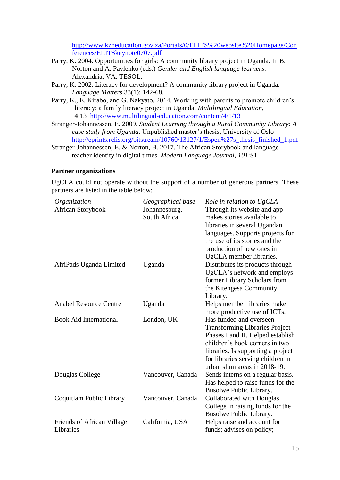[http://www.kzneducation.gov.za/Portals/0/ELITS%20website%20Homepage/Con](http://www.kzneducation.gov.za/Portals/0/ELITS%20website%20Homepage/Conferences/ELITSkeynote0707.pdf) [ferences/ELITSkeynote0707.pdf](http://www.kzneducation.gov.za/Portals/0/ELITS%20website%20Homepage/Conferences/ELITSkeynote0707.pdf)

- Parry, K. 2004. Opportunities for girls: A community library project in Uganda. In B. Norton and A. Pavlenko (eds.) *Gender and English language learners*. Alexandria, VA: TESOL.
- Parry, K. 2002. Literacy for development? A community library project in Uganda. *Language Matters* 33(1): 142-68.
- Parry, K., E. Kirabo, and G. Nakyato. 2014. Working with parents to promote children's literacy: a family literacy project in Uganda. *Multilingual Education*, **4**:13 <http://www.multilingual-education.com/content/4/1/13>
- Stranger-Johannessen, E. 2009. *Student Learning through a Rural Community Library: A case study from Uganda.* Unpublished master's thesis, University of Oslo [http://eprints.rclis.org/bitstream/10760/13127/1/Espen%27s\\_thesis\\_finished\\_1.pdf](http://eprints.rclis.org/bitstream/10760/13127/1/Espen%27s_thesis_finished_1.pdf)
- Stranger-Johannessen, E. & Norton, B. 2017. The African Storybook and language teacher identity in digital times. *Modern Language Journal, 101*:S1

## **Partner organizations**

UgCLA could not operate without the support of a number of generous partners. These partners are listed in the table below:

| Organization                  | Geographical base | Role in relation to UgCLA             |
|-------------------------------|-------------------|---------------------------------------|
| African Storybook             | Johannesburg,     | Through its website and app           |
|                               | South Africa      | makes stories available to            |
|                               |                   | libraries in several Ugandan          |
|                               |                   | languages. Supports projects for      |
|                               |                   | the use of its stories and the        |
|                               |                   | production of new ones in             |
|                               |                   | UgCLA member libraries.               |
| AfriPads Uganda Limited       | Uganda            | Distributes its products through      |
|                               |                   | UgCLA's network and employs           |
|                               |                   | former Library Scholars from          |
|                               |                   | the Kitengesa Community               |
|                               |                   | Library.                              |
| <b>Anabel Resource Centre</b> | Uganda            | Helps member libraries make           |
|                               |                   | more productive use of ICTs.          |
| <b>Book Aid International</b> | London, UK        | Has funded and overseen               |
|                               |                   | <b>Transforming Libraries Project</b> |
|                               |                   | Phases I and II. Helped establish     |
|                               |                   | children's book corners in two        |
|                               |                   | libraries. Is supporting a project    |
|                               |                   | for libraries serving children in     |
|                               |                   | urban slum areas in 2018-19.          |
| Douglas College               | Vancouver, Canada | Sends interns on a regular basis.     |
|                               |                   | Has helped to raise funds for the     |
|                               |                   | Busolwe Public Library.               |
| Coquitlam Public Library      | Vancouver, Canada | Collaborated with Douglas             |
|                               |                   | College in raising funds for the      |
|                               |                   | Busolwe Public Library.               |
| Friends of African Village    | California, USA   | Helps raise and account for           |
| Libraries                     |                   | funds; advises on policy;             |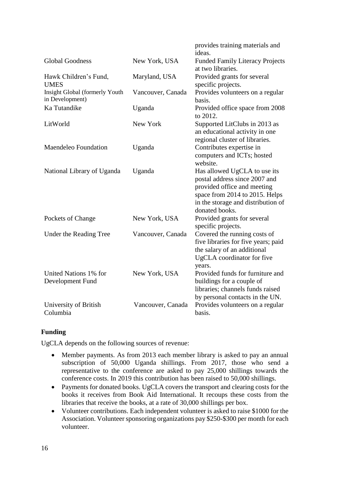|                                                   |                   | provides training materials and<br>ideas.                                                                                                                                              |
|---------------------------------------------------|-------------------|----------------------------------------------------------------------------------------------------------------------------------------------------------------------------------------|
| <b>Global Goodness</b>                            | New York, USA     | <b>Funded Family Literacy Projects</b><br>at two libraries.                                                                                                                            |
| Hawk Children's Fund,<br><b>UMES</b>              | Maryland, USA     | Provided grants for several<br>specific projects.                                                                                                                                      |
| Insight Global (formerly Youth<br>in Development) | Vancouver, Canada | Provides volunteers on a regular<br>basis.                                                                                                                                             |
| Ka Tutandike                                      | Uganda            | Provided office space from 2008<br>to 2012.                                                                                                                                            |
| LitWorld                                          | New York          | Supported LitClubs in 2013 as<br>an educational activity in one<br>regional cluster of libraries.                                                                                      |
| <b>Maendeleo Foundation</b>                       | Uganda            | Contributes expertise in<br>computers and ICTs; hosted<br>website.                                                                                                                     |
| National Library of Uganda                        | Uganda            | Has allowed UgCLA to use its<br>postal address since 2007 and<br>provided office and meeting<br>space from 2014 to 2015. Helps<br>in the storage and distribution of<br>donated books. |
| Pockets of Change                                 | New York, USA     | Provided grants for several<br>specific projects.                                                                                                                                      |
| Under the Reading Tree                            | Vancouver, Canada | Covered the running costs of<br>five libraries for five years; paid<br>the salary of an additional<br>UgCLA coordinator for five<br>years.                                             |
| United Nations 1% for<br>Development Fund         | New York, USA     | Provided funds for furniture and<br>buildings for a couple of<br>libraries; channels funds raised<br>by personal contacts in the UN.                                                   |
| University of British<br>Columbia                 | Vancouver, Canada | Provides volunteers on a regular<br>basis.                                                                                                                                             |

## **Funding**

UgCLA depends on the following sources of revenue:

- Member payments. As from 2013 each member library is asked to pay an annual subscription of 50,000 Uganda shillings. From 2017, those who send a representative to the conference are asked to pay 25,000 shillings towards the conference costs. In 2019 this contribution has been raised to 50,000 shillings.
- Payments for donated books. UgCLA covers the transport and clearing costs for the books it receives from Book Aid International. It recoups these costs from the libraries that receive the books, at a rate of 30,000 shillings per box.
- Volunteer contributions. Each independent volunteer is asked to raise \$1000 for the Association. Volunteer sponsoring organizations pay \$250-\$300 per month for each volunteer.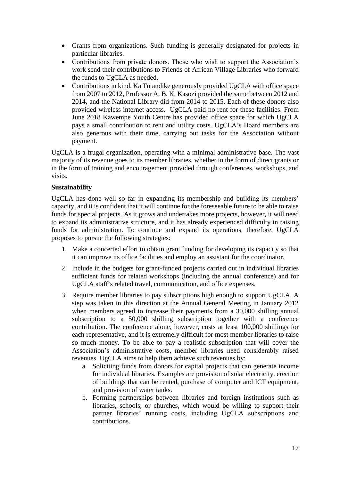- Grants from organizations. Such funding is generally designated for projects in particular libraries.
- Contributions from private donors. Those who wish to support the Association's work send their contributions to Friends of African Village Libraries who forward the funds to UgCLA as needed.
- Contributions in kind. Ka Tutandike generously provided UgCLA with office space from 2007 to 2012, Professor A. B. K. Kasozi provided the same between 2012 and 2014, and the National Library did from 2014 to 2015. Each of these donors also provided wireless internet access. UgCLA paid no rent for these facilities. From June 2018 Kawempe Youth Centre has provided office space for which UgCLA pays a small contribution to rent and utility costs. UgCLA's Board members are also generous with their time, carrying out tasks for the Association without payment.

UgCLA is a frugal organization, operating with a minimal administrative base. The vast majority of its revenue goes to its member libraries, whether in the form of direct grants or in the form of training and encouragement provided through conferences, workshops, and visits.

## **Sustainability**

UgCLA has done well so far in expanding its membership and building its members' capacity, and it is confident that it will continue for the foreseeable future to be able to raise funds for special projects. As it grows and undertakes more projects, however, it will need to expand its administrative structure, and it has already experienced difficulty in raising funds for administration. To continue and expand its operations, therefore, UgCLA proposes to pursue the following strategies:

- 1. Make a concerted effort to obtain grant funding for developing its capacity so that it can improve its office facilities and employ an assistant for the coordinator.
- 2. Include in the budgets for grant-funded projects carried out in individual libraries sufficient funds for related workshops (including the annual conference) and for UgCLA staff's related travel, communication, and office expenses.
- 3. Require member libraries to pay subscriptions high enough to support UgCLA. A step was taken in this direction at the Annual General Meeting in January 2012 when members agreed to increase their payments from a 30,000 shilling annual subscription to a 50,000 shilling subscription together with a conference contribution. The conference alone, however, costs at least 100,000 shillings for each representative, and it is extremely difficult for most member libraries to raise so much money. To be able to pay a realistic subscription that will cover the Association's administrative costs, member libraries need considerably raised revenues. UgCLA aims to help them achieve such revenues by:
	- a. Soliciting funds from donors for capital projects that can generate income for individual libraries. Examples are provision of solar electricity, erection of buildings that can be rented, purchase of computer and ICT equipment, and provision of water tanks.
	- b. Forming partnerships between libraries and foreign institutions such as libraries, schools, or churches, which would be willing to support their partner libraries' running costs, including UgCLA subscriptions and contributions.